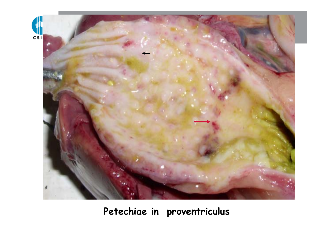

**Petechiae in proventriculus**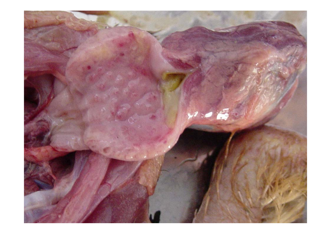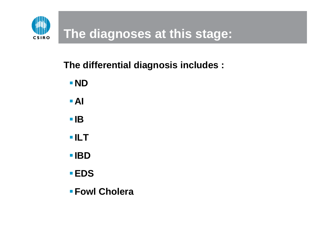

### **The differential diagnosis includes :**

- **ND**
- **AI**
- **IB**
- **ILT**
- **IBD**
- **EDS**
- **Fowl Cholera**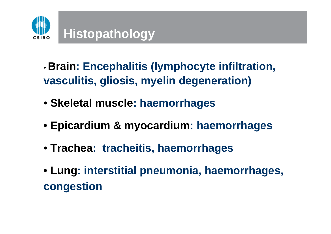

- • **Brain: Encephalitis (lymphocyte infiltration, vasculitis, gliosis, myelin degeneration)**
- **Skeletal muscle: haemorrhages**
- **Epicardium & myocardium: haemorrhages**
- **Trachea: tracheitis, haemorrhages**
- **Lung: interstitial pneumonia, haemorrhages, congestion**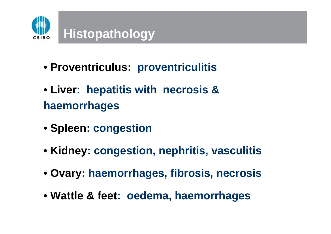

- **Proventriculus: proventriculitis**
- **Liver: hepatitis with necrosis & haemorrhages**
- **Spleen: congestion**
- **Kidney: congestion, nephritis, vasculitis**
- **Ovary: haemorrhages, fibrosis, necrosis**
- **Wattle & feet: oedema, haemorrhages**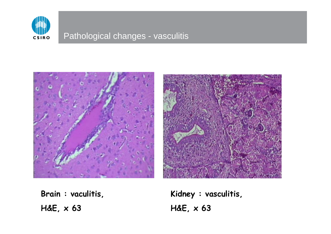

#### Pathological changes - vasculitis





**Brain : vaculitis, H&E, x 63**

**Kid ney : vasculitis, H&E, x 63**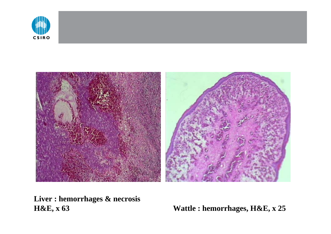



**Liver : hemorrhages & necrosis H&E, x 63 Wattle : hemorrhages, H&E, x 25**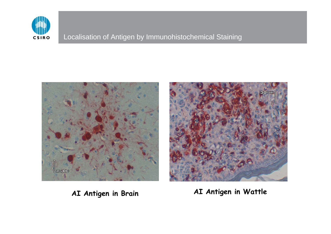

#### Localisation of Antigen by Immunohistochemical Staining





**AI Antigen in Brain AI Antigen in Wattle**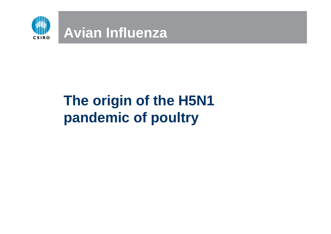



# **The origin of the H5N1 pandemic of poultry**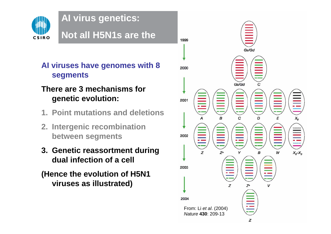

#### **AI virus genetics:**

**Not all H5N1s are the** 

### **AI viruses have genomes with 8 segments**

### **There are 3 mechanisms for genetic evolution:**

- **1. Point mutations and deletions**
- **2. Intergenic recombination between segments**
- **3. Genetic reassortment during dual infection of a cell**
- **(Hence the evolution of H5N1 viruses as illustrated)**

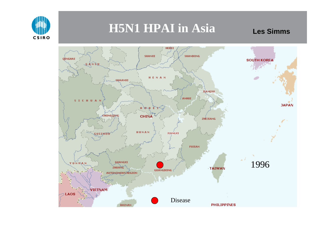

#### **Les Simms**

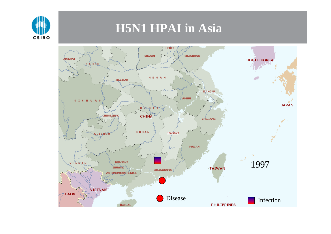

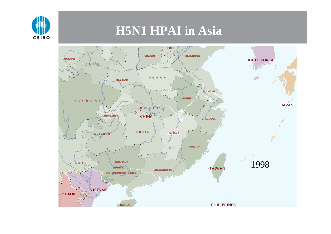

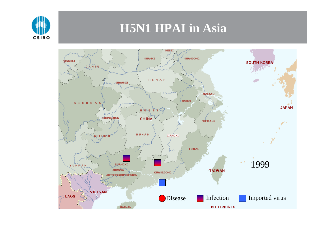

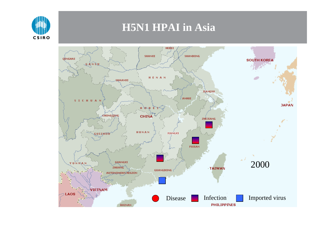![](_page_14_Picture_0.jpeg)

![](_page_14_Figure_2.jpeg)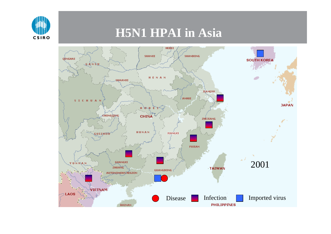![](_page_15_Picture_0.jpeg)

![](_page_15_Picture_2.jpeg)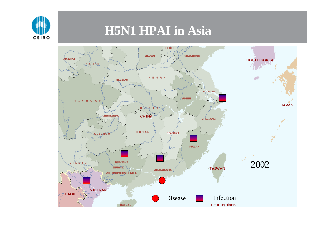![](_page_16_Picture_0.jpeg)

![](_page_16_Figure_2.jpeg)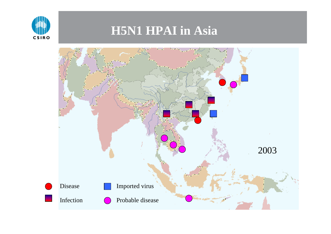![](_page_17_Picture_0.jpeg)

![](_page_17_Figure_2.jpeg)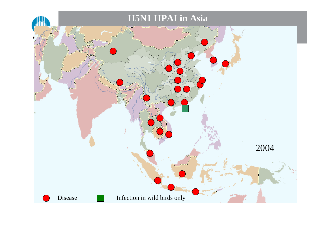![](_page_18_Figure_0.jpeg)